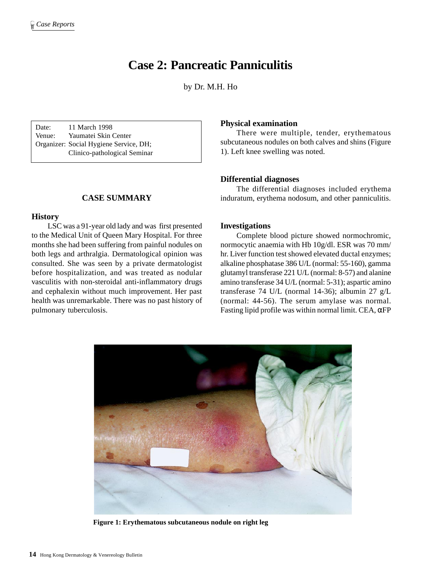# **Case 2: Pancreatic Panniculitis**

by Dr. M.H. Ho

Date: 11 March 1998 Venue: Yaumatei Skin Center Organizer: Social Hygiene Service, DH; Clinico-pathological Seminar

## **CASE SUMMARY**

### **History**

LSC was a 91-year old lady and was first presented to the Medical Unit of Queen Mary Hospital. For three months she had been suffering from painful nodules on both legs and arthralgia. Dermatological opinion was consulted. She was seen by a private dermatologist before hospitalization, and was treated as nodular vasculitis with non-steroidal anti-inflammatory drugs and cephalexin without much improvement. Her past health was unremarkable. There was no past history of pulmonary tuberculosis.

## **Physical examination**

There were multiple, tender, erythematous subcutaneous nodules on both calves and shins (Figure 1). Left knee swelling was noted.

## **Differential diagnoses**

The differential diagnoses included erythema induratum, erythema nodosum, and other panniculitis.

### **Investigations**

Complete blood picture showed normochromic, normocytic anaemia with Hb 10g/dl. ESR was 70 mm/ hr. Liver function test showed elevated ductal enzymes; alkaline phosphatase 386 U/L (normal: 55-160), gamma glutamyl transferase 221 U/L (normal: 8-57) and alanine amino transferase 34 U/L (normal: 5-31); aspartic amino transferase 74 U/L (normal 14-36); albumin 27 g/L (normal: 44-56). The serum amylase was normal. Fasting lipid profile was within normal limit. CEA,  $\alpha$ FP



**Figure 1: Erythematous subcutaneous nodule on right leg**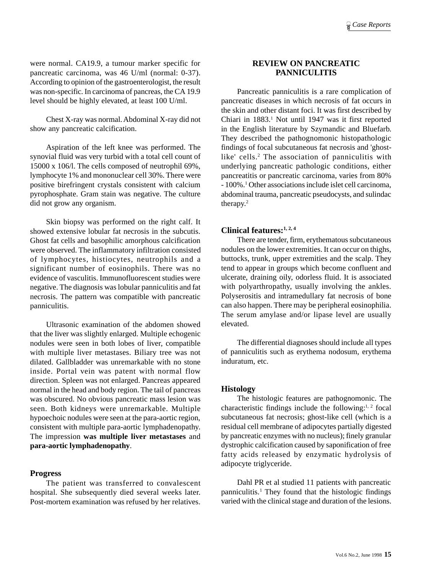were normal. CA19.9, a tumour marker specific for pancreatic carcinoma, was 46 U/ml (normal: 0-37). According to opinion of the gastroenterologist, the result was non-specific. In carcinoma of pancreas, the CA 19.9 level should be highly elevated, at least 100 U/ml.

Chest X-ray was normal. Abdominal X-ray did not show any pancreatic calcification.

Aspiration of the left knee was performed. The synovial fluid was very turbid with a total cell count of 15000 x 106/l. The cells composed of neutrophil 69%, lymphocyte 1% and mononuclear cell 30%. There were positive birefringent crystals consistent with calcium pyrophosphate. Gram stain was negative. The culture did not grow any organism.

Skin biopsy was performed on the right calf. It showed extensive lobular fat necrosis in the subcutis. Ghost fat cells and basophilic amorphous calcification were observed. The inflammatory infiltration consisted of lymphocytes, histiocytes, neutrophils and a significant number of eosinophils. There was no evidence of vasculitis. Immunofluorescent studies were negative. The diagnosis was lobular panniculitis and fat necrosis. The pattern was compatible with pancreatic panniculitis.

Ultrasonic examination of the abdomen showed that the liver was slightly enlarged. Multiple echogenic nodules were seen in both lobes of liver, compatible with multiple liver metastases. Biliary tree was not dilated. Gallbladder was unremarkable with no stone inside. Portal vein was patent with normal flow direction. Spleen was not enlarged. Pancreas appeared normal in the head and body region. The tail of pancreas was obscured. No obvious pancreatic mass lesion was seen. Both kidneys were unremarkable. Multiple hypoechoic nodules were seen at the para-aortic region, consistent with multiple para-aortic lymphadenopathy. The impression **was multiple liver metastases** and **para-aortic lymphadenopathy**.

### **Progress**

The patient was transferred to convalescent hospital. She subsequently died several weeks later. Post-mortem examination was refused by her relatives.

# **REVIEW ON PANCREATIC PANNICULITIS**

Pancreatic panniculitis is a rare complication of pancreatic diseases in which necrosis of fat occurs in the skin and other distant foci. It was first described by Chiari in 1883.<sup>1</sup> Not until 1947 was it first reported in the English literature by Szymandic and Bluefarb. They described the pathognomonic histopathologic findings of focal subcutaneous fat necrosis and 'ghostlike' cells.<sup>2</sup> The association of panniculitis with underlying pancreatic pathologic conditions, either pancreatitis or pancreatic carcinoma, varies from 80% - 100%.1 Other associations include islet cell carcinoma, abdominal trauma, pancreatic pseudocysts, and sulindac therapy.2

## **Clinical features:1, 2, 4**

There are tender, firm, erythematous subcutaneous nodules on the lower extremities. It can occur on thighs, buttocks, trunk, upper extremities and the scalp. They tend to appear in groups which become confluent and ulcerate, draining oily, odorless fluid. It is associated with polyarthropathy, usually involving the ankles. Polyserositis and intramedullary fat necrosis of bone can also happen. There may be peripheral eosinophilia. The serum amylase and/or lipase level are usually elevated.

The differential diagnoses should include all types of panniculitis such as erythema nodosum, erythema induratum, etc.

#### **Histology**

The histologic features are pathognomonic. The characteristic findings include the following:<sup>1, 2</sup> focal subcutaneous fat necrosis; ghost-like cell (which is a residual cell membrane of adipocytes partially digested by pancreatic enzymes with no nucleus); finely granular dystrophic calcification caused by saponification of free fatty acids released by enzymatic hydrolysis of adipocyte triglyceride.

Dahl PR et al studied 11 patients with pancreatic panniculitis.<sup>1</sup> They found that the histologic findings varied with the clinical stage and duration of the lesions.